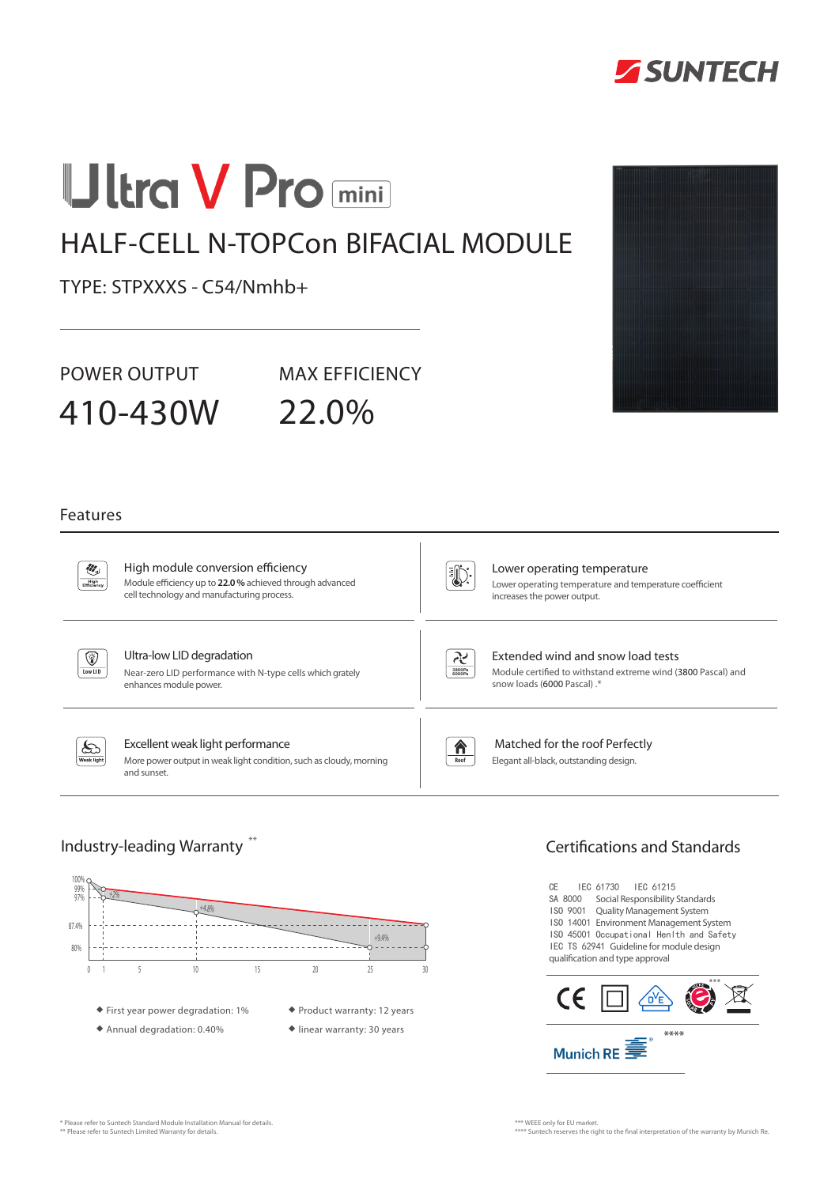

# **Ultra V Pro mini**

## HALF-CELL N-TOPCon BIFACIAL MODULE

TYPE: STPXXXS - C54/Nmhb+

POWER OUTPUT MAX EFFICIENCY

410-430W 22.0%

#### Features

 $\partial \mathcal{E}_i$  $Figh$  High module conversion efficiency Module efficiency up to **22.0 %** achieved through advanced cell technology and manufacturing process.

U):

Lower operating temperature Lower operating temperature and temperature coefficient increases the power output.



#### Ultra-low LID degradation

Near-zero LID performance with N-type cells which grately enhances module power.



Extended wind and snow load tests Module certified to withstand extreme wind (3800 Pascal) and snow loads (6000 Pascal) .\*

ક્તિ ak light

#### Excellent weak light performance

More power output in weak light condition, such as cloudy, morning and sunset.

合

**Roof**

 Matched for the roof Perfectly Elegant all-black, outstanding design.



### Industry-leading Warranty  $^{**}$   $\hphantom{...}$   $\hphantom{...}$   $\hphantom{...}$   $\hphantom{...}$   $\hphantom{...}$   $\hphantom{...}$   $\hphantom{...}$   $\hphantom{...}$   $\hphantom{...}$   $\hphantom{...}$   $\hphantom{...}$   $\hphantom{...}$   $\hphantom{...}$   $\hphantom{...}$   $\hphantom{...}$   $\hphantom{...}$   $\hphantom{...}$   $\hphantom{...}$   $\hphantom{...}$

CE IEC 61730 IEC 61215 SA 8000 Social Responsibility Standards ISO 9001 Quality Management System ISO 14001 Environment Management System ISO 45001 Occupational Henlth and Safety IEC TS 62941 Guideline for module design qualification and type approval